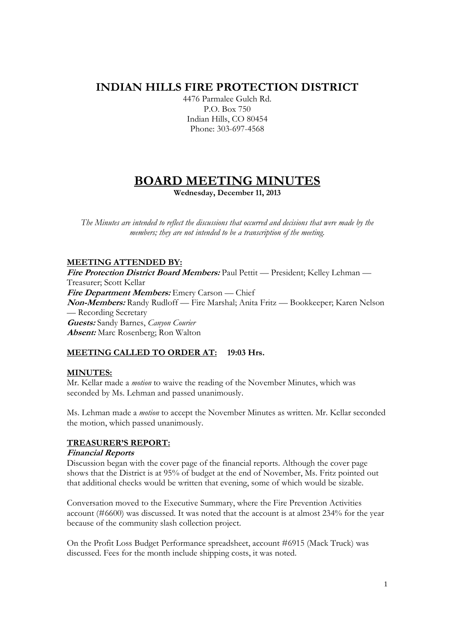## **INDIAN HILLS FIRE PROTECTION DISTRICT**

4476 Parmalee Gulch Rd. P.O. Box 750 Indian Hills, CO 80454 Phone: 303-697-4568

# **BOARD MEETING MINUTES**

**Wednesday, December 11, 2013** 

*The Minutes are intended to reflect the discussions that occurred and decisions that were made by the members; they are not intended to be a transcription of the meeting.* 

## **MEETING ATTENDED BY:**

**Fire Protection District Board Members:** Paul Pettit — President; Kelley Lehman — Treasurer; Scott Kellar **Fire Department Members:** Emery Carson — Chief **Non-Members:** Randy Rudloff — Fire Marshal; Anita Fritz — Bookkeeper; Karen Nelson — Recording Secretary **Guests:** Sandy Barnes, *Canyon Courier* **Absent:** Marc Rosenberg; Ron Walton

## **MEETING CALLED TO ORDER AT: 19:03 Hrs.**

## **MINUTES:**

Mr. Kellar made a *motion* to waive the reading of the November Minutes, which was seconded by Ms. Lehman and passed unanimously.

Ms. Lehman made a *motion* to accept the November Minutes as written. Mr. Kellar seconded the motion, which passed unanimously.

## **TREASURER'S REPORT:**

#### **Financial Reports**

Discussion began with the cover page of the financial reports. Although the cover page shows that the District is at 95% of budget at the end of November, Ms. Fritz pointed out that additional checks would be written that evening, some of which would be sizable.

Conversation moved to the Executive Summary, where the Fire Prevention Activities account (#6600) was discussed. It was noted that the account is at almost 234% for the year because of the community slash collection project.

On the Profit Loss Budget Performance spreadsheet, account #6915 (Mack Truck) was discussed. Fees for the month include shipping costs, it was noted.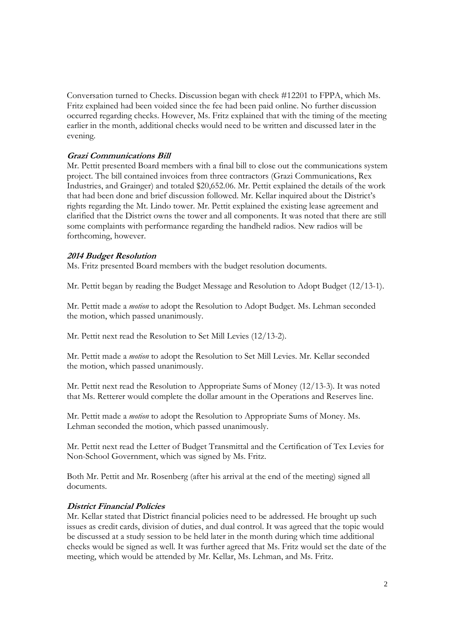Conversation turned to Checks. Discussion began with check #12201 to FPPA, which Ms. Fritz explained had been voided since the fee had been paid online. No further discussion occurred regarding checks. However, Ms. Fritz explained that with the timing of the meeting earlier in the month, additional checks would need to be written and discussed later in the evening.

#### **Grazi Communications Bill**

Mr. Pettit presented Board members with a final bill to close out the communications system project. The bill contained invoices from three contractors (Grazi Communications, Rex Industries, and Grainger) and totaled \$20,652.06. Mr. Pettit explained the details of the work that had been done and brief discussion followed. Mr. Kellar inquired about the District's rights regarding the Mt. Lindo tower. Mr. Pettit explained the existing lease agreement and clarified that the District owns the tower and all components. It was noted that there are still some complaints with performance regarding the handheld radios. New radios will be forthcoming, however.

#### **2014 Budget Resolution**

Ms. Fritz presented Board members with the budget resolution documents.

Mr. Pettit began by reading the Budget Message and Resolution to Adopt Budget (12/13-1).

Mr. Pettit made a *motion* to adopt the Resolution to Adopt Budget. Ms. Lehman seconded the motion, which passed unanimously.

Mr. Pettit next read the Resolution to Set Mill Levies (12/13-2).

Mr. Pettit made a *motion* to adopt the Resolution to Set Mill Levies. Mr. Kellar seconded the motion, which passed unanimously.

Mr. Pettit next read the Resolution to Appropriate Sums of Money (12/13-3). It was noted that Ms. Retterer would complete the dollar amount in the Operations and Reserves line.

Mr. Pettit made a *motion* to adopt the Resolution to Appropriate Sums of Money. Ms. Lehman seconded the motion, which passed unanimously.

Mr. Pettit next read the Letter of Budget Transmittal and the Certification of Tex Levies for Non-School Government, which was signed by Ms. Fritz.

Both Mr. Pettit and Mr. Rosenberg (after his arrival at the end of the meeting) signed all documents.

## **District Financial Policies**

Mr. Kellar stated that District financial policies need to be addressed. He brought up such issues as credit cards, division of duties, and dual control. It was agreed that the topic would be discussed at a study session to be held later in the month during which time additional checks would be signed as well. It was further agreed that Ms. Fritz would set the date of the meeting, which would be attended by Mr. Kellar, Ms. Lehman, and Ms. Fritz.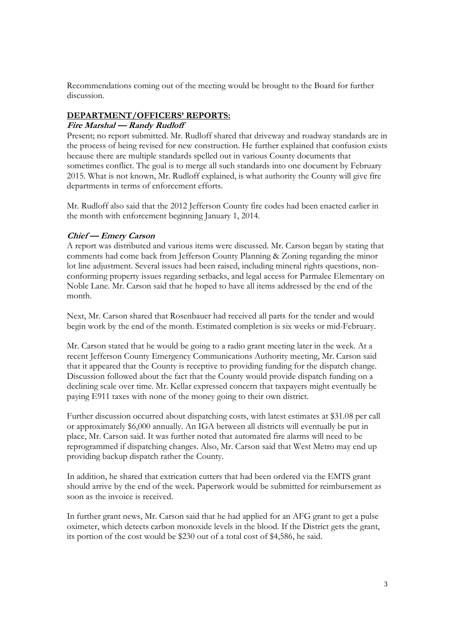Recommendations coming out of the meeting would be brought to the Board for further discussion.

#### **DEPARTMENT/OFFICERS' REPORTS:**

#### **Fire Marshal — Randy Rudloff**

Present; no report submitted. Mr. Rudloff shared that driveway and roadway standards are in the process of being revised for new construction. He further explained that confusion exists because there are multiple standards spelled out in various County documents that sometimes conflict. The goal is to merge all such standards into one document by February 2015. What is not known, Mr. Rudloff explained, is what authority the County will give fire departments in terms of enforcement efforts.

Mr. Rudloff also said that the 2012 Jefferson County fire codes had been enacted earlier in the month with enforcement beginning January 1, 2014.

#### **Chief — Emery Carson**

A report was distributed and various items were discussed. Mr. Carson began by stating that comments had come back from Jefferson County Planning & Zoning regarding the minor lot line adjustment. Several issues had been raised, including mineral rights questions, nonconforming property issues regarding setbacks, and legal access for Parmalee Elementary on Noble Lane. Mr. Carson said that he hoped to have all items addressed by the end of the month.

Next, Mr. Carson shared that Rosenbauer had received all parts for the tender and would begin work by the end of the month. Estimated completion is six weeks or mid-February.

Mr. Carson stated that he would be going to a radio grant meeting later in the week. At a recent Jefferson County Emergency Communications Authority meeting, Mr. Carson said that it appeared that the County is receptive to providing funding for the dispatch change. Discussion followed about the fact that the County would provide dispatch funding on a declining scale over time. Mr. Kellar expressed concern that taxpayers might eventually be paying E911 taxes with none of the money going to their own district.

Further discussion occurred about dispatching costs, with latest estimates at \$31.08 per call or approximately \$6,000 annually. An IGA between all districts will eventually be put in place, Mr. Carson said. It was further noted that automated fire alarms will need to be reprogrammed if dispatching changes. Also, Mr. Carson said that West Metro may end up providing backup dispatch rather the County.

In addition, he shared that extrication cutters that had been ordered via the EMTS grant should arrive by the end of the week. Paperwork would be submitted for reimbursement as soon as the invoice is received.

In further grant news, Mr. Carson said that he had applied for an AFG grant to get a pulse oximeter, which detects carbon monoxide levels in the blood. If the District gets the grant, its portion of the cost would be \$230 out of a total cost of \$4,586, he said.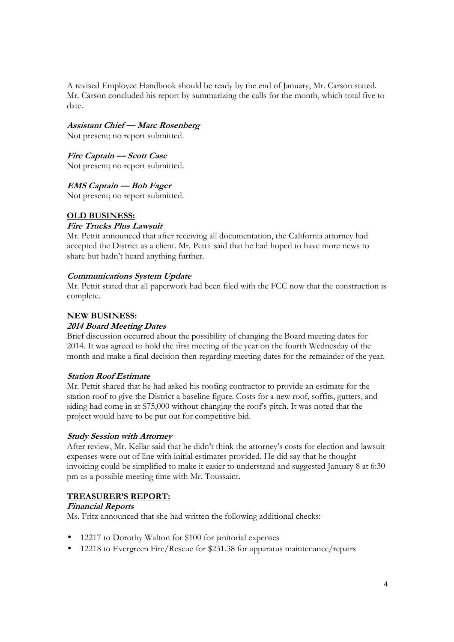A revised Employee Handbook should be ready by the end of January, Mr. Carson stated. Mr. Carson concluded his report by summarizing the calls for the month, which total five to date.

### **Assistant Chief — Marc Rosenberg**

Not present; no report submitted.

#### **Fire Captain — Scott Case**

Not present; no report submitted.

#### **EMS Captain — Bob Fager**

Not present; no report submitted.

#### **OLD BUSINESS:**

#### **Fire Trucks Plus Lawsuit**

Mr. Pettit announced that after receiving all documentation, the California attorney had accepted the District as a client. Mr. Pettit said that he had hoped to have more news to share but hadn't heard anything further.

#### **Communications System Update**

Mr. Pettit stated that all paperwork had been filed with the FCC now that the construction is complete.

#### **NEW BUSINESS:**

#### **2014 Board Meeting Dates**

Brief discussion occurred about the possibility of changing the Board meeting dates for 2014. It was agreed to hold the first meeting of the year on the fourth Wednesday of the month and make a final decision then regarding meeting dates for the remainder of the year.

#### **Station Roof Estimate**

Mr. Pettit shared that he had asked his roofing contractor to provide an estimate for the station roof to give the District a baseline figure. Costs for a new roof, soffits, gutters, and siding had come in at \$75,000 without changing the roof's pitch. It was noted that the project would have to be put out for competitive bid.

#### **Study Session with Attorney**

After review, Mr. Kellar said that he didn't think the attorney's costs for election and lawsuit expenses were out of line with initial estimates provided. He did say that he thought invoicing could be simplified to make it easier to understand and suggested January 8 at 6:30 pm as a possible meeting time with Mr. Toussaint.

#### **TREASURER'S REPORT:**

#### **Financial Reports**

Ms. Fritz announced that she had written the following additional checks:

- 12217 to Dorothy Walton for \$100 for janitorial expenses
- 12218 to Evergreen Fire/Rescue for \$231.38 for apparatus maintenance/repairs